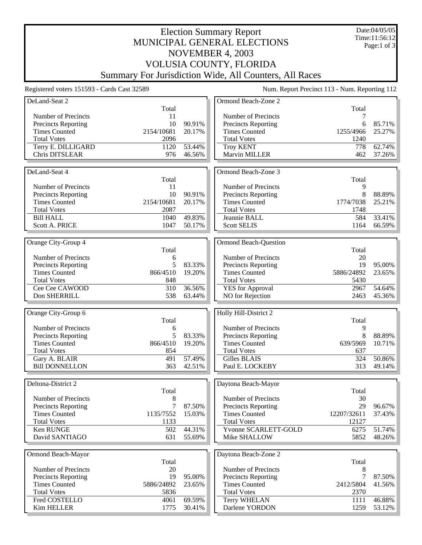## Election Summary Report MUNICIPAL GENERAL ELECTIONS NOVEMBER 4, 2003 VOLUSIA COUNTY, FLORIDA Summary For Jurisdiction Wide, All Counters, All Races

Date:04/05/05 Time:11:56:12 Page:1 of 3

Registered voters 151593 - Cards Cast 32589 Num. Report Precinct 113 - Num. Reporting 112

| DeLand-Seat 2               |              |                  | Ormond Beach-Zone 2                   |              |                  |
|-----------------------------|--------------|------------------|---------------------------------------|--------------|------------------|
|                             | Total        |                  |                                       | Total        |                  |
| Number of Precincts         | 11           |                  | Number of Precincts                   | 7            |                  |
| <b>Precincts Reporting</b>  | 10           | 90.91%           | <b>Precincts Reporting</b>            | 6            | 85.71%           |
| <b>Times Counted</b>        | 2154/10681   | 20.17%           | <b>Times Counted</b>                  | 1255/4966    | 25.27%           |
| <b>Total Votes</b>          | 2096         |                  | <b>Total Votes</b>                    | 1240         |                  |
| Terry E. DILLIGARD          | 1120         | 53.44%           | <b>Troy KENT</b>                      | 778          | 62.74%           |
| Chris DITSLEAR              | 976          | 46.56%           | Marvin MILLER                         | 462          | 37.26%           |
|                             |              |                  |                                       |              |                  |
| DeLand-Seat 4               |              |                  |                                       |              |                  |
|                             |              |                  | Ormond Beach-Zone 3                   |              |                  |
|                             | Total        |                  |                                       | Total        |                  |
| Number of Precincts         | 11           |                  | Number of Precincts                   | 9            |                  |
| <b>Precincts Reporting</b>  | 10           | 90.91%           | Precincts Reporting                   | 8            | 88.89%           |
| <b>Times Counted</b>        | 2154/10681   | 20.17%           | <b>Times Counted</b>                  | 1774/7038    | 25.21%           |
| <b>Total Votes</b>          | 2087         |                  | <b>Total Votes</b>                    | 1748         |                  |
| <b>Bill HALL</b>            | 1040         | 49.83%           | Jeannie BALL                          | 584          | 33.41%           |
| Scott A. PRICE              | 1047         | 50.17%           | <b>Scott SELIS</b>                    | 1164         | 66.59%           |
|                             |              |                  |                                       |              |                  |
| Orange City-Group 4         |              |                  | <b>Ormond Beach-Question</b>          |              |                  |
|                             |              |                  |                                       |              |                  |
|                             | Total        |                  |                                       | Total        |                  |
| Number of Precincts         | 6            |                  | Number of Precincts                   | 20           |                  |
| <b>Precincts Reporting</b>  | 5            | 83.33%           | <b>Precincts Reporting</b>            | 19           | 95.00%           |
| <b>Times Counted</b>        | 866/4510     | 19.20%           | <b>Times Counted</b>                  | 5886/24892   | 23.65%           |
| <b>Total Votes</b>          | 848          |                  | <b>Total Votes</b>                    | 5430         |                  |
| Cee Cee CAWOOD              | 310          | 36.56%           | <b>YES</b> for Approval               | 2967         | 54.64%           |
| Don SHERRILL                | 538          | 63.44%           | NO for Rejection                      | 2463         | 45.36%           |
|                             |              |                  |                                       |              |                  |
|                             |              |                  |                                       |              |                  |
|                             |              |                  |                                       |              |                  |
| Orange City-Group 6         |              |                  | Holly Hill-District 2                 |              |                  |
|                             | Total        |                  |                                       | Total        |                  |
| Number of Precincts         | 6            |                  | Number of Precincts                   | 9            |                  |
| Precincts Reporting         | 5            | 83.33%           | Precincts Reporting                   | 8            | 88.89%           |
| <b>Times Counted</b>        | 866/4510     | 19.20%           | <b>Times Counted</b>                  | 639/5969     | 10.71%           |
| <b>Total Votes</b>          | 854          |                  | <b>Total Votes</b>                    | 637          |                  |
| Gary A. BLAIR               | 491          | 57.49%           | Gilles BLAIS                          | 324          | 50.86%           |
| <b>Bill DONNELLON</b>       | 363          | 42.51%           | Paul E. LOCKEBY                       | 313          | 49.14%           |
|                             |              |                  |                                       |              |                  |
|                             |              |                  |                                       |              |                  |
| Deltona-District 2          |              |                  | Daytona Beach-Mayor                   |              |                  |
|                             | Total        |                  |                                       | Total        |                  |
| Number of Precincts         | 8            |                  | Number of Precincts                   | 30           |                  |
| <b>Precincts Reporting</b>  | $\tau$       | 87.50%           | <b>Precincts Reporting</b>            | 29           | 96.67%           |
| <b>Times Counted</b>        | 1135/7552    | 15.03%           | <b>Times Counted</b>                  | 12207/32611  | 37.43%           |
| <b>Total Votes</b>          | 1133         |                  | <b>Total Votes</b>                    | 12127        |                  |
| Ken RUNGE                   | 502          | 44.31%           | Yvonne SCARLETT-GOLD                  | 6275         | 51.74%           |
| David SANTIAGO              | 631          | 55.69%           | Mike SHALLOW                          | 5852         | 48.26%           |
|                             |              |                  |                                       |              |                  |
| Ormond Beach-Mayor          |              |                  | Daytona Beach-Zone 2                  |              |                  |
|                             | Total        |                  |                                       | Total        |                  |
|                             |              |                  |                                       |              |                  |
| Number of Precincts         | 20           |                  | Number of Precincts                   | 8            |                  |
| Precincts Reporting         | 19           | 95.00%           | Precincts Reporting                   | 7            | 87.50%           |
| <b>Times Counted</b>        | 5886/24892   | 23.65%           | <b>Times Counted</b>                  | 2412/5804    | 41.56%           |
| <b>Total Votes</b>          | 5836         |                  | <b>Total Votes</b>                    | 2370         |                  |
| Fred COSTELLO<br>Kim HELLER | 4061<br>1775 | 69.59%<br>30.41% | <b>Terry WHELAN</b><br>Darlene YORDON | 1111<br>1259 | 46.88%<br>53.12% |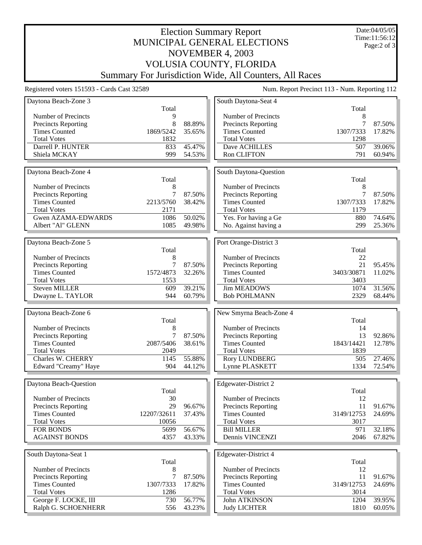## Election Summary Report MUNICIPAL GENERAL ELECTIONS NOVEMBER 4, 2003 VOLUSIA COUNTY, FLORIDA Summary For Jurisdiction Wide, All Counters, All Races

Date:04/05/05 Time:11:56:12 Page:2 of 3

Registered voters 151593 - Cards Cast 32589 Num. Report Precinct 113 - Num. Reporting 112

| Daytona Beach-Zone 3                              |                  |                  | South Daytona-Seat 4                        |              |                  |
|---------------------------------------------------|------------------|------------------|---------------------------------------------|--------------|------------------|
|                                                   | Total            |                  |                                             | Total        |                  |
| Number of Precincts                               | 9<br>8           | 88.89%           | Number of Precincts                         | 8<br>7       | 87.50%           |
| Precincts Reporting<br><b>Times Counted</b>       | 1869/5242        | 35.65%           | Precincts Reporting<br><b>Times Counted</b> | 1307/7333    | 17.82%           |
| <b>Total Votes</b>                                | 1832             |                  | <b>Total Votes</b>                          | 1298         |                  |
| Darrell P. HUNTER                                 | 833              | 45.47%           | Dave ACHILLES                               | 507          | 39.06%           |
| Shiela MCKAY                                      | 999              | 54.53%           | Ron CLIFTON                                 | 791          | 60.94%           |
|                                                   |                  |                  |                                             |              |                  |
| Daytona Beach-Zone 4                              |                  |                  | South Daytona-Question                      |              |                  |
|                                                   | Total            |                  |                                             | Total        |                  |
| Number of Precincts                               | 8                |                  | Number of Precincts                         | 8            |                  |
| Precincts Reporting                               | $\boldsymbol{7}$ | 87.50%           | Precincts Reporting                         |              | 87.50%           |
| <b>Times Counted</b>                              | 2213/5760        | 38.42%           | <b>Times Counted</b>                        | 1307/7333    | 17.82%           |
| <b>Total Votes</b>                                | 2171             |                  | <b>Total Votes</b>                          | 1179         |                  |
| Gwen AZAMA-EDWARDS                                | 1086             | 50.02%           | Yes. For having a Ge                        | 880          | 74.64%           |
| Albert "Al" GLENN                                 | 1085             | 49.98%           | No. Against having a                        | 299          | 25.36%           |
|                                                   |                  |                  |                                             |              |                  |
| Daytona Beach-Zone 5                              |                  |                  | Port Orange-District 3                      |              |                  |
|                                                   | Total            |                  |                                             | Total        |                  |
| Number of Precincts                               | 8                |                  | Number of Precincts                         | 22           |                  |
| <b>Precincts Reporting</b>                        | $\tau$           | 87.50%           | Precincts Reporting                         | 21           | 95.45%           |
| <b>Times Counted</b>                              | 1572/4873        | 32.26%           | <b>Times Counted</b>                        | 3403/30871   | 11.02%           |
| <b>Total Votes</b>                                | 1553             |                  | <b>Total Votes</b>                          | 3403         |                  |
| Steven MILLER                                     | 609              | 39.21%           | <b>Jim MEADOWS</b>                          | 1074         | 31.56%           |
| Dwayne L. TAYLOR                                  | 944              | 60.79%           | <b>Bob POHLMANN</b>                         | 2329         | 68.44%           |
|                                                   |                  |                  |                                             |              |                  |
|                                                   |                  |                  |                                             |              |                  |
| Daytona Beach-Zone 6                              |                  |                  | New Smyrna Beach-Zone 4                     |              |                  |
|                                                   | Total            |                  |                                             | Total        |                  |
| Number of Precincts                               | 8                |                  | Number of Precincts                         | 14           |                  |
| Precincts Reporting                               | $\tau$           | 87.50%           | Precincts Reporting                         | 13           | 92.86%           |
| <b>Times Counted</b>                              | 2087/5406        | 38.61%           | <b>Times Counted</b>                        | 1843/14421   | 12.78%           |
| <b>Total Votes</b>                                | 2049             |                  | <b>Total Votes</b>                          | 1839         |                  |
| Charles W. CHERRY                                 | 1145             | 55.88%           | <b>Rory LUNDBERG</b>                        | 505          | 27.46%           |
| Edward "Creamy" Haye                              | 904              | 44.12%           | Lynne PLASKETT                              | 1334         | 72.54%           |
|                                                   |                  |                  |                                             |              |                  |
| Daytona Beach-Question                            |                  |                  | Edgewater-District 2                        |              |                  |
|                                                   | Total<br>30      |                  |                                             | Total<br>12  |                  |
| Number of Precincts<br><b>Precincts Reporting</b> | 29               | 96.67%           | Number of Precincts<br>Precincts Reporting  | 11           | 91.67%           |
| <b>Times Counted</b>                              | 12207/32611      | 37.43%           | <b>Times Counted</b>                        | 3149/12753   | 24.69%           |
| <b>Total Votes</b>                                | 10056            |                  | <b>Total Votes</b>                          | 3017         |                  |
| <b>FOR BONDS</b>                                  | 5699             | 56.67%           | <b>Bill MILLER</b>                          | 971          | 32.18%           |
| <b>AGAINST BONDS</b>                              | 4357             | 43.33%           | Dennis VINCENZI                             | 2046         | 67.82%           |
|                                                   |                  |                  |                                             |              |                  |
| South Daytona-Seat 1                              |                  |                  | Edgewater-District 4                        |              |                  |
|                                                   | Total            |                  |                                             | Total        |                  |
| Number of Precincts                               | 8                |                  | Number of Precincts                         | 12           |                  |
| <b>Precincts Reporting</b>                        | 7                | 87.50%           | Precincts Reporting                         | 11           | 91.67%           |
| <b>Times Counted</b>                              | 1307/7333        | 17.82%           | <b>Times Counted</b>                        | 3149/12753   | 24.69%           |
| <b>Total Votes</b>                                | 1286             |                  | <b>Total Votes</b>                          | 3014         |                  |
| George F. LOCKE, III<br>Ralph G. SCHOENHERR       | 730<br>556       | 56.77%<br>43.23% | John ATKINSON<br><b>Judy LICHTER</b>        | 1204<br>1810 | 39.95%<br>60.05% |